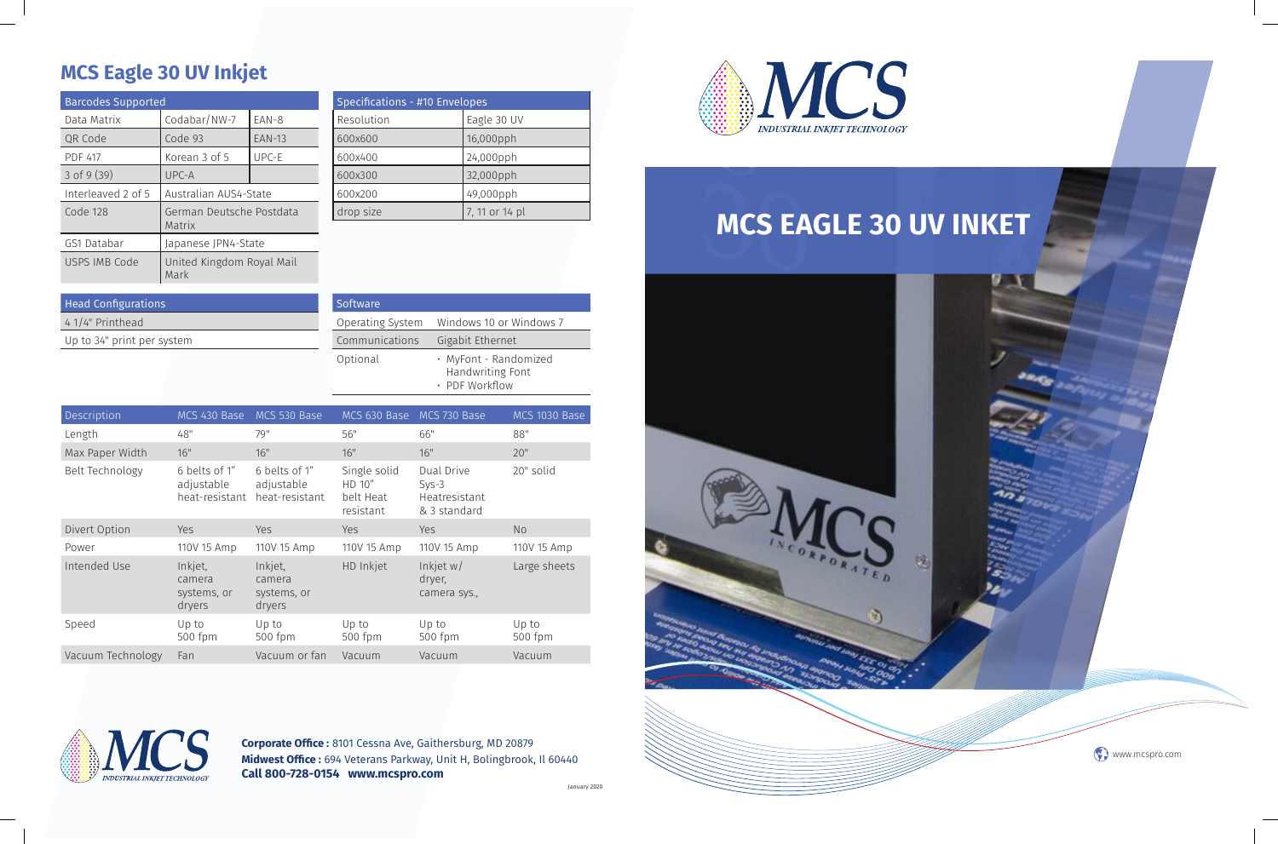

# **MCS Eagle 30 UV Inkjet**

**Corporate Office :** 8101 Cessna Ave, Gaithersburg, MD 20879 **Midwest Office :** 694 Veterans Parkway, Unit H, Bolingbrook, Il 60440 **Call 800-728-0154 www.mcspro.com**



# Head Configurations 4 1/4" Printhead

| <b>Barcodes Supported</b> |                                    |               |  |  |
|---------------------------|------------------------------------|---------------|--|--|
| Data Matrix               | Codabar/NW-7                       | EAN-8         |  |  |
| QR Code                   | Code 93                            | <b>EAN-13</b> |  |  |
| <b>PDF 417</b>            | Korean 3 of 5                      | UPC-E         |  |  |
| $3$ of 9 $(39)$           | UPC-A                              |               |  |  |
| Interleaved 2 of 5        | Australian AUS4-State              |               |  |  |
| Code 128                  | German Deutsche Postdata<br>Matrix |               |  |  |
| GS1 Databar               | Japanese JPN4-State                |               |  |  |
| USPS IMB Code             | United Kingdom Royal Mail<br>Mark  |               |  |  |

| Specifications - #10 Envelopes |                |  |
|--------------------------------|----------------|--|
| Resolution                     | Eagle 30 UV    |  |
| 600x600                        | 16,000pph      |  |
| 600x400                        | 24,000pph      |  |
| 600x300                        | 32,000pph      |  |
| 600x200                        | 49,000pph      |  |
| drop size                      | 7, 11 or 14 pl |  |

Up to 34" print per system

| Software         |                                                             |
|------------------|-------------------------------------------------------------|
| Operating System | Windows 10 or Windows 7                                     |
| Communications   | Gigabit Ethernet                                            |
| Optional         | · MyFont - Randomized<br>Handwriting Font<br>· PDF Workflow |

| Description       | MCS 430 Base                                  | MCS 530 Base                                  | MCS 630 Base                                     | MCS 730 Base                                           | MCS 1030 Base    |
|-------------------|-----------------------------------------------|-----------------------------------------------|--------------------------------------------------|--------------------------------------------------------|------------------|
| Length            | 48"                                           | 79"                                           | 56"                                              | 66"                                                    | 88"              |
| Max Paper Width   | 16"                                           | 16"                                           | 16"                                              | 16"                                                    | 20"              |
| Belt Technology   | 6 belts of 1"<br>adjustable<br>heat-resistant | 6 belts of 1"<br>adjustable<br>heat-resistant | Single solid<br>HD 10"<br>belt Heat<br>resistant | Dual Drive<br>$Sys-3$<br>Heatresistant<br>& 3 standard | 20" solid        |
| Divert Option     | <b>Yes</b>                                    | Yes                                           | <b>Yes</b>                                       | Yes                                                    | N <sub>o</sub>   |
| Power             | 110V 15 Amp                                   | 110V 15 Amp                                   | 110V 15 Amp                                      | 110V 15 Amp                                            | 110V 15 Amp      |
| Intended Use      | Inkjet,<br>camera<br>systems, or<br>dryers    | Inkjet,<br>camera<br>systems, or<br>dryers    | HD Inkjet                                        | Inkjet $w/$<br>dryer,<br>camera sys.,                  | Large sheets     |
| Speed             | Up to<br>500 fpm                              | Up to<br>500 fpm                              | Up to<br>500 fpm                                 | Up to<br>500 fpm                                       | Up to<br>500 fpm |
| Vacuum Technology | Fan                                           | Vacuum or fan                                 | Vacuum                                           | Vacuum                                                 | Vacuum           |



January 2020